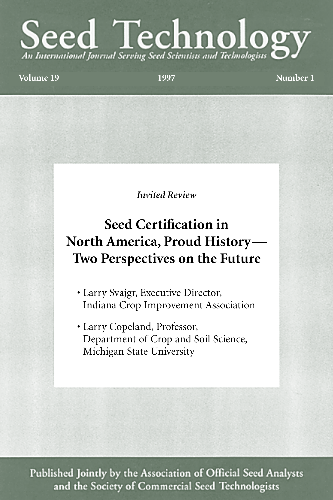# Seed Technologis and Technologis S

**Volume 19 1997 Number 1**

*Invited Review*

## **Seed Certification in North America, Proud History— Two Perspectives on the Future**

- Larry Svajgr, Executive Director, Indiana Crop Improvement Association
- Larry Copeland, Professor, Department of Crop and Soil Science, Michigan State University

Published Jointly by the Association of Official Seed Analysts and the Society of Commercial Seed Technologists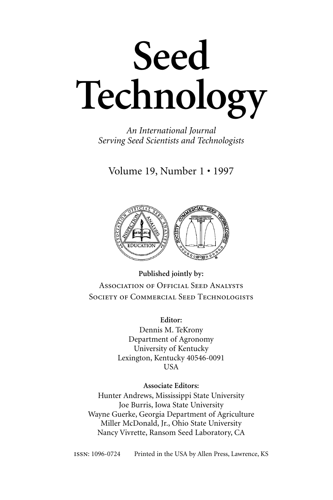

*An International Journal Serving Seed Scientists and Technologists*

Volume 19, Number 1 • 1997



**Published jointly by:** ASSOCIATION OF OFFICIAL SEED ANALYSTS SOCIETY OF COMMERCIAL SEED TECHNOLOGISTS

> **Editor:** Dennis M. TeKrony Department of Agronomy University of Kentucky Lexington, Kentucky 40546-0091 USA

> > **Associate Editors:**

Hunter Andrews, Mississippi State University Joe Burris, Iowa State University Wayne Guerke, Georgia Department of Agriculture Miller McDonald, Jr., Ohio State University Nancy Vivrette, Ransom Seed Laboratory, CA

: 1096-0724 Printed in the USA by Allen Press, Lawrence, KS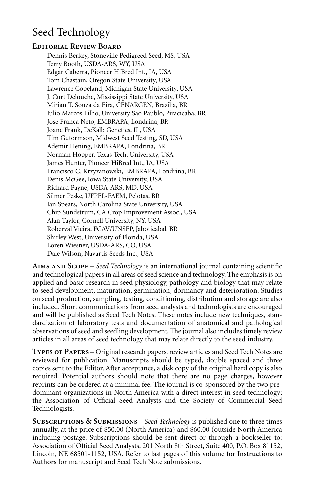## Seed Technology

#### **EDITORIAL REVIEW BOARD -**

Dennis Berkey, Stoneville Pedigreed Seed, MS, USA Terry Booth, USDA-ARS, WY, USA Edgar Caberra, Pioneer HiBred Int., IA, USA Tom Chastain, Oregon State University, USA Lawrence Copeland, Michigan State University, USA J. Curt Delouche, Mississippi State University, USA Mirian T. Souza da Eira, CENARGEN, Brazilia, BR Julio Marcos Filho, University Sao Paublo, Piracicaba, BR Jose Franca Neto, EMBRAPA, Londrina, BR Joane Frank, DeKalb Genetics, IL, USA Tim Gutormson, Midwest Seed Testing, SD, USA Ademir Hening, EMBRAPA, Londrina, BR Norman Hopper, Texas Tech. University, USA James Hunter, Pioneer HiBred Int., IA, USA Francisco C. Krzyzanowski, EMBRAPA, Londrina, BR Denis McGee, Iowa State University, USA Richard Payne, USDA-ARS, MD, USA Silmer Peske, UFPEL-FAEM, Pelotas, BR Jan Spears, North Carolina State University, USA Chip Sundstrum, CA Crop Improvement Assoc., USA Alan Taylor, Cornell University, NY, USA Roberval Vieira, FCAV/UNSEP, Jaboticabal, BR Shirley West, University of Florida, USA Loren Wiesner, USDA-ARS, CO, USA Dale Wilson, Navartis Seeds Inc., USA

**A S** – *Seed Technology* is an international journal containing scientific and technological papers in all areas of seed science and technology. The emphasis is on applied and basic research in seed physiology, pathology and biology that may relate to seed development, maturation, germination, dormancy and deterioration. Studies on seed production, sampling, testing, conditioning, distribution and storage are also included. Short communications from seed analysts and technologists are encouraged and will be published as Seed Tech Notes. These notes include new techniques, standardization of laboratory tests and documentation of anatomical and pathological observations of seed and seedling development. The journal also includes timely review articles in all areas of seed technology that may relate directly to the seed industry.

TYPES OF PAPERS - Original research papers, review articles and Seed Tech Notes are reviewed for publication. Manuscripts should be typed, double spaced and three copies sent to the Editor. After acceptance, a disk copy of the original hard copy is also required. Potential authors should note that there are no page charges, however reprints can be ordered at a minimal fee. The journal is co-sponsored by the two predominant organizations in North America with a direct interest in seed technology; the Association of Official Seed Analysts and the Society of Commercial Seed Technologists.

**S & S** *– Seed Technology* is published one to three times annually, at the price of \$50.00 (North America) and \$60.00 (outside North America including postage. Subscriptions should be sent direct or through a bookseller to: Association of Official Seed Analysts, 201 North 8th Street, Suite 400, P.O. Box 81152, Lincoln, NE 68501-1152, USA. Refer to last pages of this volume for **Instructions to Authors** for manuscript and Seed Tech Note submissions.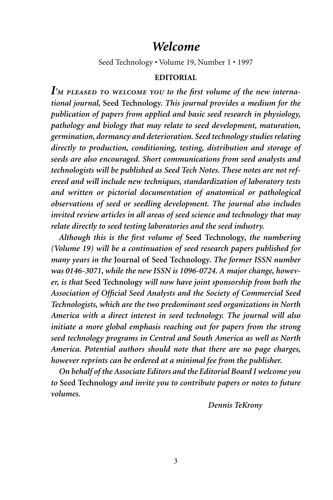## *Welcome*

Seed Technology • Volume 19, Number 1 • 1997

### **EDITORIAL**

I'M PLEASED TO WELCOME YOU to the first volume of the new interna*tional journal,* **Seed Technology.** *This journal provides a medium for the publication of papers from applied and basic seed research in physiology, pathology and biology that may relate to seed development, maturation, germination, dormancy and deterioration. Seed technology studies relating directly to production, conditioning, testing, distribution and storage of seeds are also encouraged. Short communications from seed analysts and technologists will be published as Seed Tech Notes. These notes are not refereed and will include new techniques, standardization of laboratory tests and written or pictorial documentation of anatomical or pathological observations of seed or seedling development. The journal also includes invited review articles in all areas of seed science and technology that may relate directly to seed testing laboratories and the seed industry.*

*Although this is the first volume of* **Seed Technology,** *the numbering (Volume 19) will be a continuation of seed research papers published for many years in the* **Journal of Seed Technology.** *The former ISSN number was 0146-3071, while the new ISSN is 1096-0724. A major change, however, is that* **Seed Technology** *will now have joint sponsorship from both the Association of Official Seed Analysts and the Society of Commercial Seed Technologists, which are the two predominant seed organizations in North America with a direct interest in seed technology. The journal will also initiate a more global emphasis reaching out for papers from the strong seed technology programs in Central and South America as well as North America. Potential authors should note that there are no page charges, however reprints can be ordered at a minimal fee from the publisher.*

*On behalf of the Associate Editors and the Editorial Board I welcome you to* **Seed Technology** *and invite you to contribute papers or notes to future volumes.*

*Dennis TeKrony*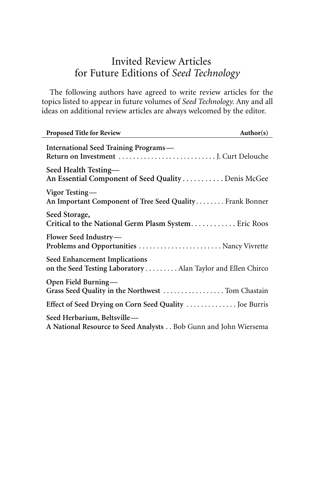## Invited Review Articles for Future Editions of *Seed Technology*

The following authors have agreed to write review articles for the topics listed to appear in future volumes of *Seed Technology.* Any and all ideas on additional review articles are always welcomed by the editor.

| <b>Proposed Title for Review</b>                                                               | Author(s) |
|------------------------------------------------------------------------------------------------|-----------|
| <b>International Seed Training Programs—</b>                                                   |           |
| Seed Health Testing—<br>An Essential Component of Seed Quality Denis McGee                     |           |
| Vigor Testing—<br>An Important Component of Tree Seed Quality Frank Bonner                     |           |
| Seed Storage,<br>Critical to the National Germ Plasm System Eric Roos                          |           |
| Flower Seed Industry—<br>Problems and Opportunities  Nancy Vivrette                            |           |
| Seed Enhancement Implications<br>on the Seed Testing Laboratory Alan Taylor and Ellen Chirco   |           |
| Open Field Burning-<br>Grass Seed Quality in the Northwest  Tom Chastain                       |           |
| Effect of Seed Drying on Corn Seed Quality  Joe Burris                                         |           |
| Seed Herbarium, Beltsville-<br>A National Resource to Seed Analysts Bob Gunn and John Wiersema |           |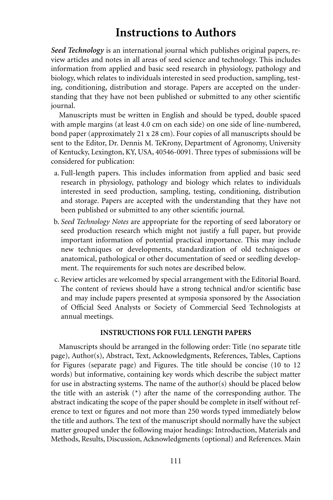## **Instructions to Authors**

*Seed Technology* is an international journal which publishes original papers, review articles and notes in all areas of seed science and technology. This includes information from applied and basic seed research in physiology, pathology and biology, which relates to individuals interested in seed production, sampling, testing, conditioning, distribution and storage. Papers are accepted on the understanding that they have not been published or submitted to any other scientific journal.

Manuscripts must be written in English and should be typed, double spaced with ample margins (at least 4.0 cm on each side) on one side of line-numbered, bond paper (approximately 21 x 28 cm). Four copies of all manuscripts should be sent to the Editor, Dr. Dennis M. TeKrony, Department of Agronomy, University of Kentucky, Lexington, KY, USA, 40546-0091. Three types of submissions will be considered for publication:

- a. Full-length papers. This includes information from applied and basic seed research in physiology, pathology and biology which relates to individuals interested in seed production, sampling, testing, conditioning, distribution and storage. Papers are accepted with the understanding that they have not been published or submitted to any other scientific journal.
- b. *Seed Technology Notes* are appropriate for the reporting of seed laboratory or seed production research which might not justify a full paper, but provide important information of potential practical importance. This may include new techniques or developments, standardization of old techniques or anatomical, pathological or other documentation of seed or seedling development. The requirements for such notes are described below.
- c. Review articles are welcomed by special arrangement with the Editorial Board. The content of reviews should have a strong technical and/or scientific base and may include papers presented at symposia sponsored by the Association of Official Seed Analysts or Society of Commercial Seed Technologists at annual meetings.

#### **INSTRUCTIONS FOR FULL LENGTH PAPERS**

Manuscripts should be arranged in the following order: Title (no separate title page), Author(s), Abstract, Text, Acknowledgments, References, Tables, Captions for Figures (separate page) and Figures. The title should be concise (10 to 12 words) but informative, containing key words which describe the subject matter for use in abstracting systems. The name of the author(s) should be placed below the title with an asterisk  $(*)$  after the name of the corresponding author. The abstract indicating the scope of the paper should be complete in itself without reference to text or figures and not more than 250 words typed immediately below the title and authors. The text of the manuscript should normally have the subject matter grouped under the following major headings: Introduction, Materials and Methods, Results, Discussion, Acknowledgments (optional) and References. Main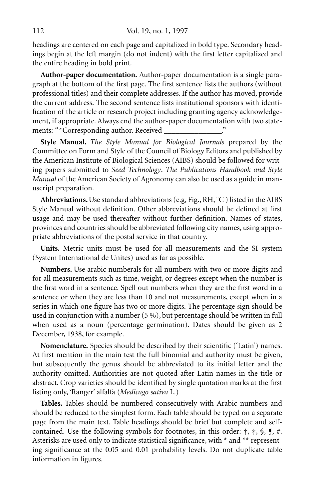headings are centered on each page and capitalized in bold type. Secondary headings begin at the left margin (do not indent) with the first letter capitalized and the entire heading in bold print.

**Author-paper documentation.** Author-paper documentation is a single paragraph at the bottom of the first page. The first sentence lists the authors (without professional titles) and their complete addresses. If the author has moved, provide the current address. The second sentence lists institutional sponsors with identification of the article or research project including granting agency acknowledgement, if appropriate. Always end the author-paper documentation with two statements: "\*Corresponding author. Received \_\_\_\_\_\_\_\_\_\_\_\_\_\_\_."

**Style Manual.** *The Style Manual for Biological Journals* prepared by the Committee on Form and Style of the Council of Biology Editors and published by the American Institute of Biological Sciences (AIBS) should be followed for writing papers submitted to *Seed Technology*. *The Publications Handbook and Style Manual* of the American Society of Agronomy can also be used as a guide in manuscript preparation.

**Abbreviations.**Use standard abbreviations (e.g, Fig., RH, ˚C ) listed in the AIBS Style Manual without definition. Other abbreviations should be defined at first usage and may be used thereafter without further definition. Names of states, provinces and countries should be abbreviated following city names, using appropriate abbreviations of the postal service in that country.

**Units.** Metric units must be used for all measurements and the SI system (System International de Unites) used as far as possible.

**Numbers.** Use arabic numberals for all numbers with two or more digits and for all measurements such as time, weight, or degrees except when the number is the first word in a sentence. Spell out numbers when they are the first word in a sentence or when they are less than 10 and not measurements, except when in a series in which one figure has two or more digits. The percentage sign should be used in conjunction with a number (5 %), but percentage should be written in full when used as a noun (percentage germination). Dates should be given as 2 December, 1938, for example.

**Nomenclature.** Species should be described by their scientific ('Latin') names. At first mention in the main test the full binomial and authority must be given, but subsequently the genus should be abbreviated to its initial letter and the authority omitted. Authorities are not quoted after Latin names in the title or abstract. Crop varieties should be identified by single quotation marks at the first listing only, 'Ranger' alfalfa (*Medicago sativa* L.)

**Tables.** Tables should be numbered consecutively with Arabic numbers and should be reduced to the simplest form. Each table should be typed on a separate page from the main text. Table headings should be brief but complete and selfcontained. Use the following symbols for footnotes, in this order:  $\dagger$ ,  $\dagger$ ,  $\zeta$ ,  $\P$ ,  $\#$ . Asterisks are used only to indicate statistical significance, with \* and \*\* representing significance at the 0.05 and 0.01 probability levels. Do not duplicate table information in figures.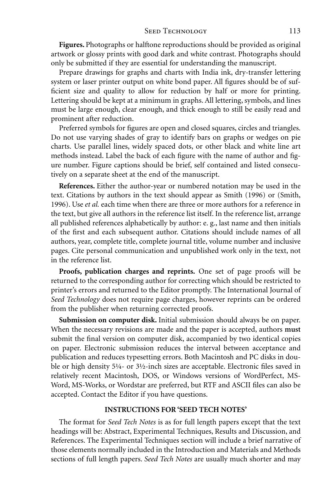#### SEED TECHNOLOGY 113

**Figures.** Photographs or halftone reproductions should be provided as original artwork or glossy prints with good dark and white contrast. Photographs should only be submitted if they are essential for understanding the manuscript.

Prepare drawings for graphs and charts with India ink, dry-transfer lettering system or laser printer output on white bond paper. All figures should be of sufficient size and quality to allow for reduction by half or more for printing. Lettering should be kept at a minimum in graphs. All lettering, symbols, and lines must be large enough, clear enough, and thick enough to still be easily read and prominent after reduction.

Preferred symbols for figures are open and closed squares, circles and triangles. Do not use varying shades of gray to identify bars on graphs or wedges on pie charts. Use parallel lines, widely spaced dots, or other black and white line art methods instead. Label the back of each figure with the name of author and figure number. Figure captions should be brief, self contained and listed consecutively on a separate sheet at the end of the manuscript.

**References.** Either the author-year or numbered notation may be used in the text. Citations by authors in the text should appear as Smith (1996) or (Smith, 1996). Use *et al.* each time when there are three or more authors for a reference in the text, but give all authors in the reference list itself. In the reference list, arrange all published references alphabetically by author: e. g., last name and then initials of the first and each subsequent author. Citations should include names of all authors, year, complete title, complete journal title, volume number and inclusive pages. Cite personal communication and unpublished work only in the text, not in the reference list.

**Proofs, publication charges and reprints.** One set of page proofs will be returned to the corresponding author for correcting which should be restricted to printer's errors and returned to the Editor promptly. The International Journal of *Seed Technology* does not require page charges, however reprints can be ordered from the publisher when returning corrected proofs.

**Submission on computer disk.** Initial submission should always be on paper. When the necessary revisions are made and the paper is accepted, authors **must** submit the final version on computer disk, accompanied by two identical copies on paper. Electronic submission reduces the interval between acceptance and publication and reduces typesetting errors. Both Macintosh and PC disks in double or high density 5¼- or 3½-inch sizes are acceptable. Electronic files saved in relatively recent Macintosh, DOS, or Windows versions of WordPerfect, MS-Word, MS-Works, or Wordstar are preferred, but RTF and ASCII files can also be accepted. Contact the Editor if you have questions.

#### **INSTRUCTIONS FOR 'SEED TECH NOTES'**

The format for *Seed Tech Notes* is as for full length papers except that the text headings will be: Abstract, Experimental Techniques, Results and Discussion, and References. The Experimental Techniques section will include a brief narrative of those elements normally included in the Introduction and Materials and Methods sections of full length papers. *Seed Tech Notes* are usually much shorter and may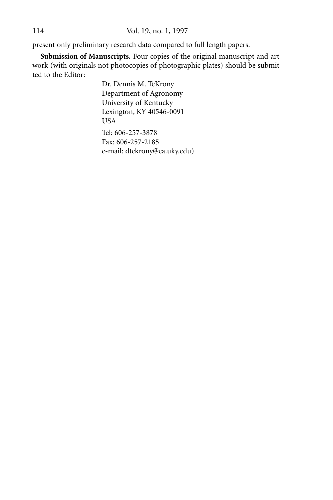present only preliminary research data compared to full length papers.

**Submission of Manuscripts.** Four copies of the original manuscript and artwork (with originals not photocopies of photographic plates) should be submitted to the Editor:

> Dr. Dennis M. TeKrony Department of Agronomy University of Kentucky Lexington, KY 40546-0091 USA Tel: 606-257-3878 Fax: 606-257-2185 e-mail: dtekrony@ca.uky.edu)